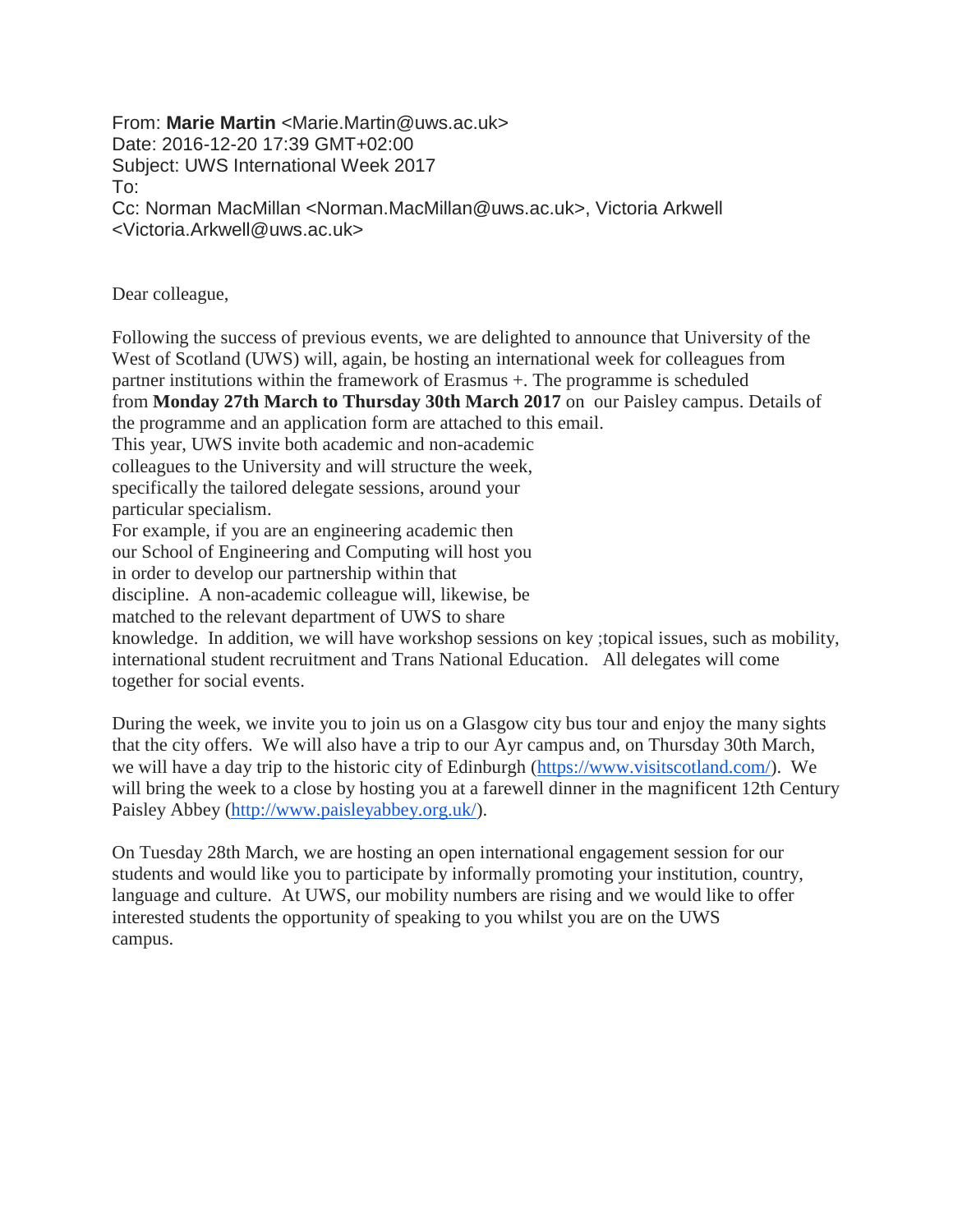From: **Marie Martin** <Marie.Martin@uws.ac.uk> Date: 2016-12-20 17:39 GMT+02:00 Subject: UWS International Week 2017 To: Cc: Norman MacMillan <Norman.MacMillan@uws.ac.uk>, Victoria Arkwell <Victoria.Arkwell@uws.ac.uk>

Dear colleague,

Following the success of previous events, we are delighted to announce that University of the West of Scotland (UWS) will, again, be hosting an international week for colleagues from partner institutions within the framework of Erasmus +. The programme is scheduled from **Monday 27th March to Thursday 30th March 2017** on our Paisley campus. Details of the programme and an application form are attached to this email. This year, UWS invite both academic and non-academic colleagues to the University and will structure the week, specifically the tailored delegate sessions, around your particular specialism. For example, if you are an engineering academic then our School of Engineering and Computing will host you in order to develop our partnership within that discipline. A non-academic colleague will, likewise, be matched to the relevant department of UWS to share knowledge. In addition, we will have workshop sessions on key ;topical issues, such as mobility, international student recruitment and Trans National Education. All delegates will come together for social events.

During the week, we invite you to join us on a Glasgow city bus tour and enjoy the many sights that the city offers. We will also have a trip to our Ayr campus and, on Thursday 30th March, we will have a day trip to the historic city of Edinburgh [\(https://www.visitscotland.com/\)](https://www.visitscotland.com/). We will bring the week to a close by hosting you at a farewell dinner in the magnificent 12th Century Paisley Abbey [\(http://www.paisleyabbey.org.uk/\)](http://www.paisleyabbey.org.uk/).

On Tuesday 28th March, we are hosting an open international engagement session for our students and would like you to participate by informally promoting your institution, country, language and culture. At UWS, our mobility numbers are rising and we would like to offer interested students the opportunity of speaking to you whilst you are on the UWS campus.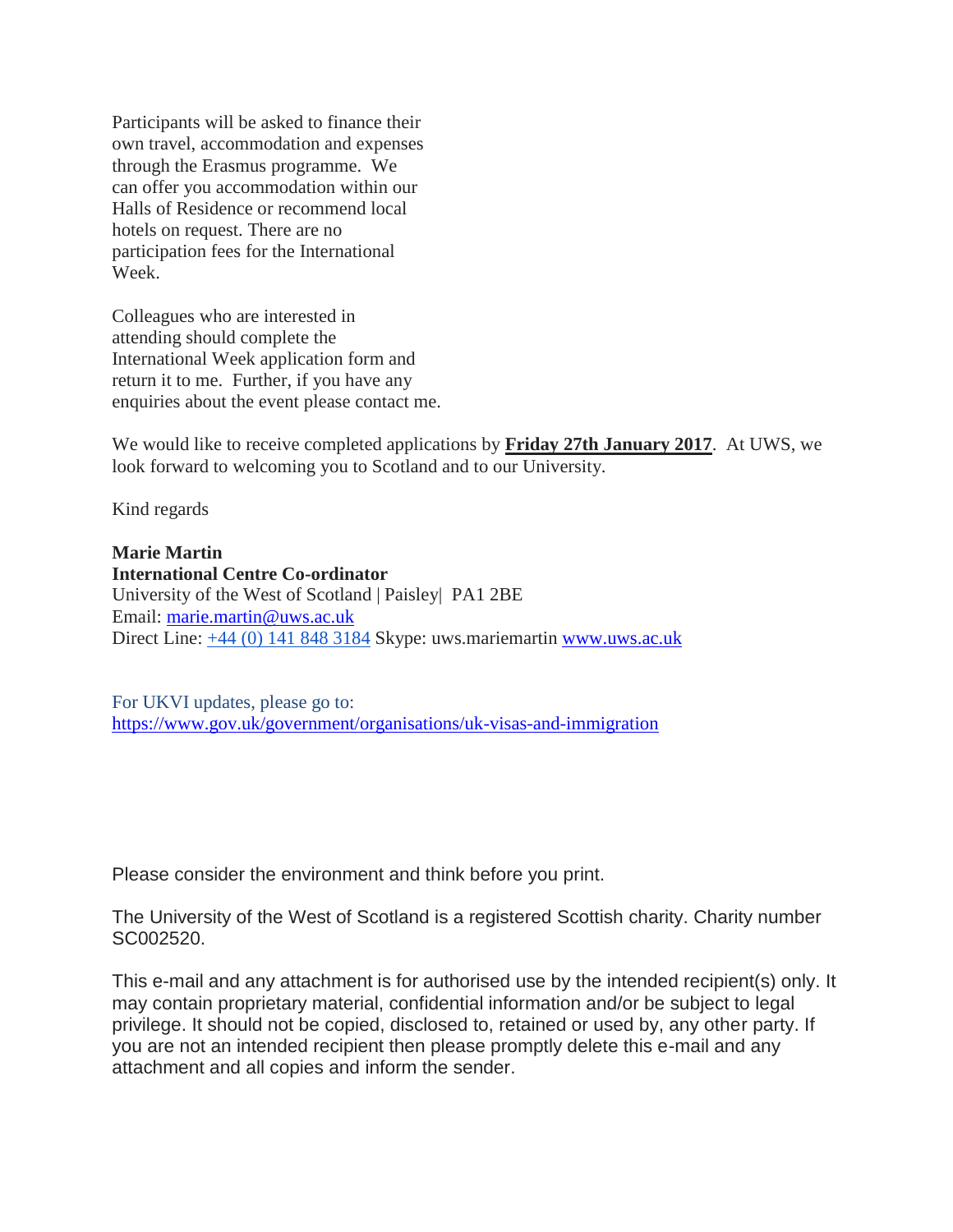Participants will be asked to finance their own travel, accommodation and expenses through the Erasmus programme. We can offer you accommodation within our Halls of Residence or recommend local hotels on request. There are no participation fees for the International Week.

Colleagues who are interested in attending should complete the International Week application form and return it to me. Further, if you have any enquiries about the event please contact me.

We would like to receive completed applications by **Friday 27th January 2017**. At UWS, we look forward to welcoming you to Scotland and to our University.

Kind regards

**Marie Martin International Centre Co-ordinator** University of the West of Scotland | Paisley| PA1 2BE Email: [marie.martin@uws.ac.uk](mailto:marie.martin@uws.ac.uk) Direct Line: [+44 \(0\) 141 848 3184](tel:+44%20141%20848%203184) Skype: uws.mariemartin [www.uws.ac.uk](http://www.uws.ac.uk/)

For UKVI updates, please go to: <https://www.gov.uk/government/organisations/uk-visas-and-immigration>

Please consider the environment and think before you print.

The University of the West of Scotland is a registered Scottish charity. Charity number SC002520.

This e-mail and any attachment is for authorised use by the intended recipient(s) only. It may contain proprietary material, confidential information and/or be subject to legal privilege. It should not be copied, disclosed to, retained or used by, any other party. If you are not an intended recipient then please promptly delete this e-mail and any attachment and all copies and inform the sender.